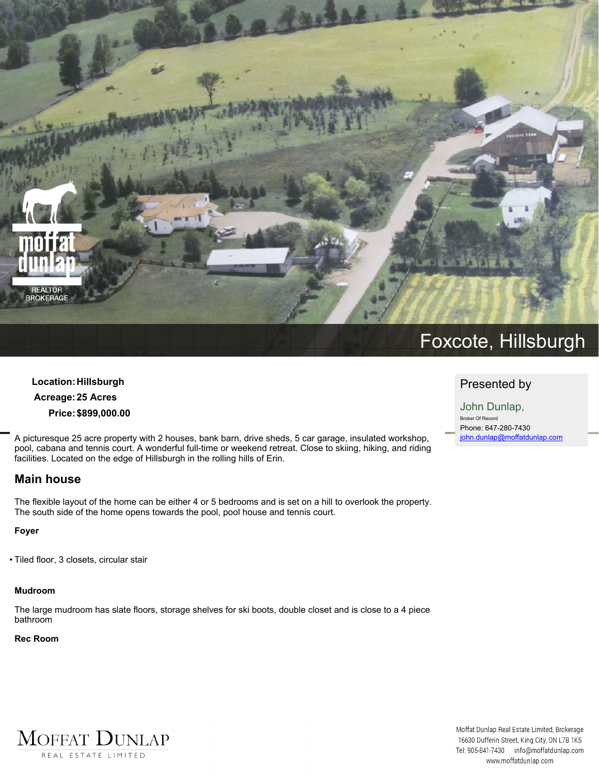

# **Location:Hillsburgh Acreage:25 Acres Price:\$899,000.00**

**A picturesque 25 acre property with 2 houses, bank barn, drive sheds, 5 car garage, insulated workshop,** pool, cabana and tennis court. A wonderful full-time or weekend retreat. Close to skiing, hiking, and riding **facilities. Located on the edge of Hillsburgh in the rolling hills of Erin.**

# **Main house**

The flexible layout of the home can be either 4 or 5 bedrooms and is set on a hill to overlook the property. **The south side of the home opens towards the pool, pool house and tennis court.**

#### **Foyer**

**• Tiled floor, 3 closets, circular stair**

MOFFAT DUNLAP

REAL ESTATE LIMITED

#### **Mudroom**

The large mudroom has slate floors, storage shelves for ski boots, double closet and is close to a 4 piece **bathroom**

#### **Rec Room**

# **Presented by**

**John Dunlap, Broker Of Record Phone: 647-280-7430 john.dunlap@moffatdunlap.com**

Moffat Dunlap Real Estate Limited, Brokerage 16630 Dufferin Street, King City, ON L7B 1K5 Tel: 905-841-7430 info@moffatdunlap.com www.moffatdunlap.com